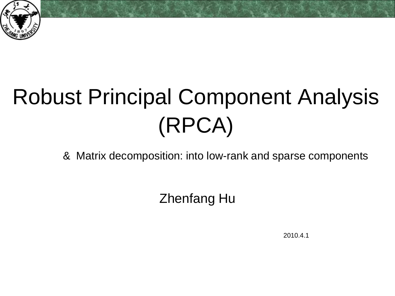

## Robust Principal Component Analysis (RPCA)

& Matrix decomposition: into low-rank and sparse components

Zhenfang Hu

2010.4.1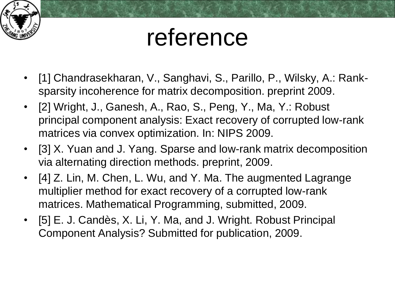

### reference

- [1] Chandrasekharan, V., Sanghavi, S., Parillo, P., Wilsky, A.: Ranksparsity incoherence for matrix decomposition. preprint 2009.
- [2] Wright, J., Ganesh, A., Rao, S., Peng, Y., Ma, Y.: Robust principal component analysis: Exact recovery of corrupted low-rank matrices via convex optimization. In: NIPS 2009.
- [3] X. Yuan and J. Yang. Sparse and low-rank matrix decomposition via alternating direction methods. preprint, 2009.
- [4] Z. Lin, M. Chen, L. Wu, and Y. Ma. The augmented Lagrange multiplier method for exact recovery of a corrupted low-rank matrices. Mathematical Programming, submitted, 2009.
- [5] E. J. Candès, X. Li, Y. Ma, and J. Wright. Robust Principal Component Analysis? Submitted for publication, 2009.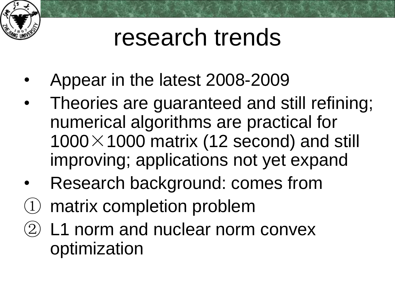

### research trends

- Appear in the latest 2008-2009
- Theories are guaranteed and still refining; numerical algorithms are practical for  $1000\times1000$  matrix (12 second) and still improving; applications not yet expand
- Research background: comes from
- ① matrix completion problem
- ② L1 norm and nuclear norm convex optimization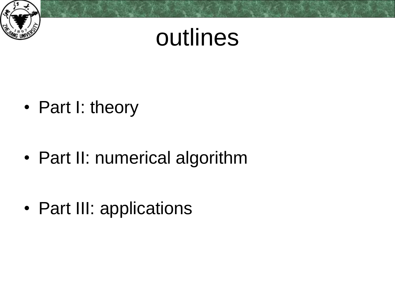

### outlines

• Part I: theory

• Part II: numerical algorithm

• Part III: applications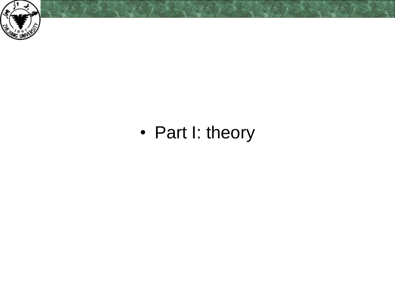

#### • Part I: theory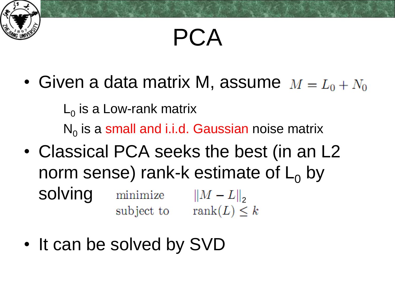

### PCA

• Given a data matrix M, assume  $M = L_0 + N_0$ 

 $\mathsf{L}_0$  is a Low-rank matrix  $\mathsf{N}_{\mathsf{0}}$  is a small and i.i.d. Gaussian noise matrix

- Classical PCA seeks the best (in an L2 norm sense) rank-k estimate of  $L_0$  by solving minimize  $||M - L||_2$ <br>subject to rank(L)  $\leq k$
- It can be solved by SVD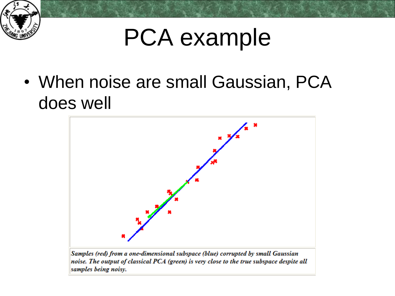

### PCA example

• When noise are small Gaussian, PCA does well



Samples (red) from a one-dimensional subspace (blue) corrupted by small Gaussian noise. The output of classical PCA (green) is very close to the true subspace despite all samples being noisy.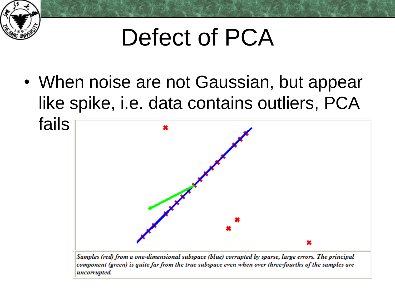

### Defect of PCA

• When noise are not Gaussian, but appear like spike, i.e. data contains outliers, PCA



Samples (red) from a one-dimensional subspace (blue) corrupted by sparse, large errors. The principal component (green) is quite far from the true subspace even when over three-fourths of the samples are uncorrupted.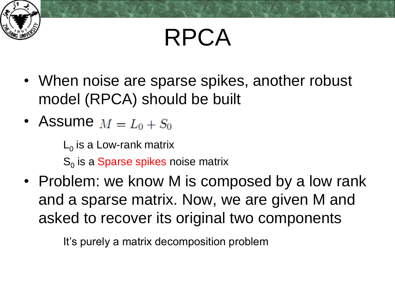

### RPCA

- When noise are sparse spikes, another robust model (RPCA) should be built
- Assume  $M = L_0 + S_0$

 $\mathsf{L}_0$  is a Low-rank matrix

 $\mathbf{S}_{\scriptscriptstyle{0}}$  is a Sparse spikes noise matrix

• Problem: we know M is composed by a low rank and a sparse matrix. Now, we are given M and asked to recover its original two components

It's purely a matrix decomposition problem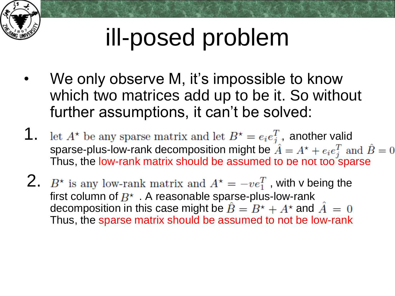

# ill-posed problem

- We only observe M, it's impossible to know which two matrices add up to be it. So without further assumptions, it can't be solved:
- **1.** let  $A^*$  be any sparse matrix and let  $B^* = e_i e_j^T$ , another valid sparse-plus-low-rank decomposition might be Thus, the low-rank matrix should be assumed to be not too sparse
- 2.  $B^*$  is any low-rank matrix and  $A^* = -ve_1^T$  with v being the first column of  $B^*$ . A reasonable sparse-plus-low-rank decomposition in this case might be  $\hat{B} = B^* + A^*$  and  $\hat{A} = 0$ . Thus, the sparse matrix should be assumed to not be low-rank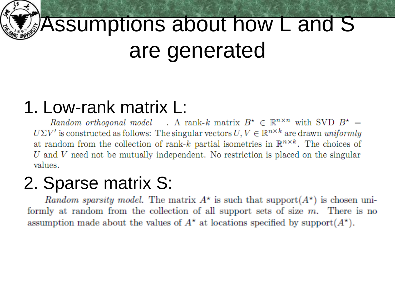

### Assumptions about how L and S are generated

#### 1. Low-rank matrix L:

Random orthogonal model . A rank-k matrix  $B^* \in \mathbb{R}^{n \times n}$  with SVD  $B^* =$  $U\Sigma V'$  is constructed as follows: The singular vectors  $U, V \in \mathbb{R}^{n \times k}$  are drawn uniformly at random from the collection of rank-k partial isometries in  $\mathbb{R}^{n \times k}$ . The choices of U and V need not be mutually independent. No restriction is placed on the singular values.

#### 2. Sparse matrix S:

*Random sparsity model.* The matrix  $A^*$  is such that support $(A^*)$  is chosen uniformly at random from the collection of all support sets of size  $m$ . There is no assumption made about the values of  $A^*$  at locations specified by support $(A^*)$ .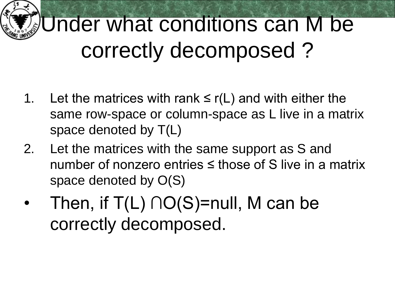

### Under what conditions can M be correctly decomposed ?

- 1. Let the matrices with rank  $\leq r(L)$  and with either the same row-space or column-space as L live in a matrix space denoted by T(L)
- 2. Let the matrices with the same support as S and number of nonzero entries ≤ those of S live in a matrix space denoted by O(S)
- Then, if  $T(L) \cap O(S)$ =null, M can be correctly decomposed.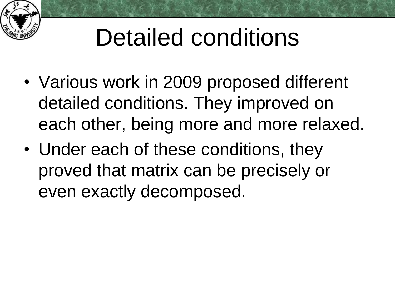

# Detailed conditions

- Various work in 2009 proposed different detailed conditions. They improved on each other, being more and more relaxed.
- Under each of these conditions, they proved that matrix can be precisely or even exactly decomposed.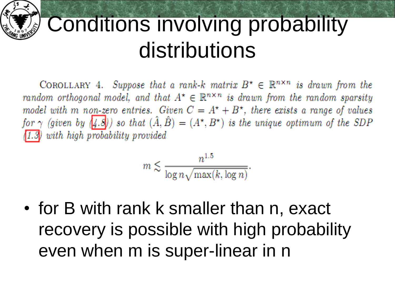

#### Conditions involving probability distributions

COROLLARY 4. Suppose that a rank-k matrix  $B^* \in \mathbb{R}^{n \times n}$  is drawn from the random orthogonal model, and that  $A^* \in \mathbb{R}^{n \times n}$  is drawn from the random sparsity model with m non-zero entries. Given  $C = A^* + B^*$ , there exists a range of values for  $\gamma$  (given by (4.8)) so that  $(\hat{A}, \hat{B}) = (A^{\star}, B^{\star})$  is the unique optimum of the SDP  $(1.3)$  with high probability provided

$$
n \lesssim \frac{n^{1.5}}{\log n \sqrt{\max(k, \log n)}}
$$

• for B with rank k smaller than n, exact recovery is possible with high probability even when m is super-linear in n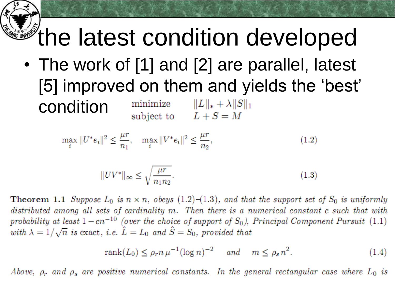# **the latest condition developed**

• The work of [1] and [2] are parallel, latest [5] improved on them and yields the 'best' conditionminimize  $||L||_* + \lambda ||S||_1$ subject to  $L+S=M$ 

$$
\max_{i} \|U^*e_i\|^2 \le \frac{\mu r}{n_1}, \quad \max_{i} \|V^*e_i\|^2 \le \frac{\mu r}{n_2},\tag{1.2}
$$

$$
||UV^*||_{\infty} \le \sqrt{\frac{\mu r}{n_1 n_2}}.\tag{1.3}
$$

**Theorem 1.1** Suppose  $L_0$  is  $n \times n$ , obeys (1.2)–(1.3), and that the support set of  $S_0$  is uniformly distributed among all sets of cardinality m. Then there is a numerical constant c such that with probability at least  $1 - cn^{-10}$  (over the choice of support of  $S_0$ ), Principal Component Pursuit (1.1) with  $\lambda = 1/\sqrt{n}$  is exact, i.e.  $\hat{L} = L_0$  and  $\hat{S} = S_0$ , provided that

$$
rank(L_0) \le \rho_r n \,\mu^{-1} (\log n)^{-2} \quad \text{and} \quad m \le \rho_s n^2. \tag{1.4}
$$

Above,  $\rho_r$  and  $\rho_s$  are positive numerical constants. In the general rectangular case where  $L_0$  is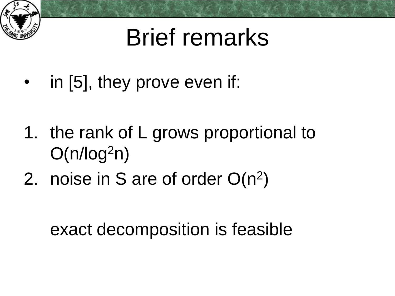

### Brief remarks

- in [5], they prove even if:
- 1. the rank of L grows proportional to  $O(n/log<sup>2</sup>n)$
- 2. noise in S are of order  $O(n^2)$

exact decomposition is feasible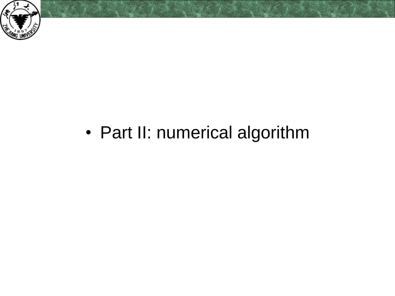

#### • Part II: numerical algorithm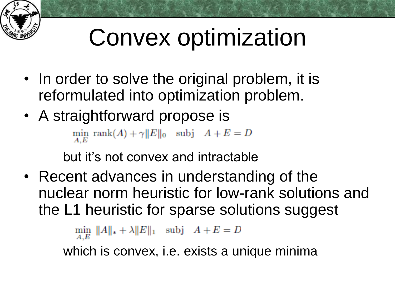

# Convex optimization

- In order to solve the original problem, it is reformulated into optimization problem.
- A straightforward propose is

 $\min_{A,E} \; \text{rank}(A) + \gamma ||E||_0 \quad \text{subj} \quad A+E=D$ 

but it's not convex and intractable

• Recent advances in understanding of the nuclear norm heuristic for low-rank solutions and the L1 heuristic for sparse solutions suggest

 $\min_{A,E} \|A\|_* + \lambda \|E\|_1$  subj  $A+E=D$ 

which is convex, i.e. exists a unique minima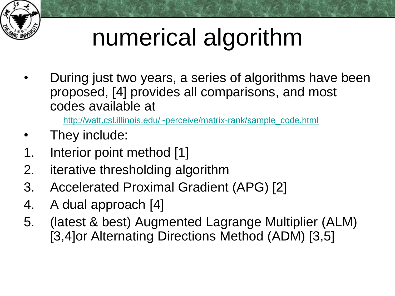

# numerical algorithm

• During just two years, a series of algorithms have been proposed, [4] provides all comparisons, and most codes available at

[http://watt.csl.illinois.edu/~perceive/matrix-rank/sample\\_code.html](http://watt.csl.illinois.edu/~perceive/matrix-rank/sample_code.html)

- They include:
- 1. Interior point method [1]
- 2. iterative thresholding algorithm
- 3. Accelerated Proximal Gradient (APG) [2]
- 4. A dual approach [4]
- 5. (latest & best) Augmented Lagrange Multiplier (ALM) [3,4]or Alternating Directions Method (ADM) [3,5]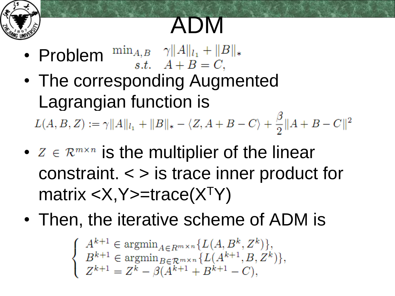

### ADM

- Problem  $\lim_{s,t} \frac{\gamma ||A||_{l_1} + ||B||_*}{s.t. \quad A+B=C,}$
- The corresponding Augmented Lagrangian function is  $L(A, B, Z) := \gamma ||A||_{l_1} + ||B||_* - \langle Z, A + B - C \rangle + \frac{\beta}{2} ||A + B - C||^2$
- $z \in \mathbb{R}^{m \times n}$  is the multiplier of the linear constraint. < > is trace inner product for matrix <X,Y>=trace(X<sup>T</sup>Y)
- Then, the iterative scheme of ADM is

$$
\begin{cases} A^{k+1} \in \operatorname{argmin}_{A \in R^{m \times n}} \{L(A, B^k, Z^k)\}, \\ B^{k+1} \in \operatorname{argmin}_{B \in \mathcal{R}^{m \times n}} \{L(A^{k+1}, B, Z^k)\}, \\ Z^{k+1} = Z^k - \beta(A^{k+1} + B^{k+1} - C), \end{cases}
$$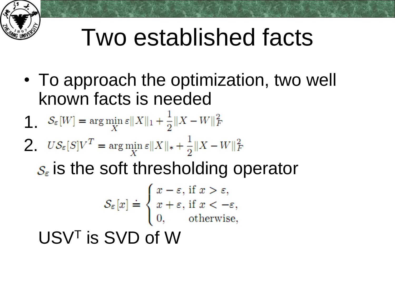

### Two established facts

- To approach the optimization, two well known facts is needed
- $\int_{\varepsilon}^{\mathbb{I}} |W| = \arg\min_{X} \varepsilon \|X\|_1 + \frac{1}{2} \|X W\|_F^2$
- 2.  $US_{\varepsilon}[S]V^T = \arg\min_{X} \varepsilon \|X\|_{*} + \frac{1}{2} \|X W\|_{F}^2$ 
	- $s_{\epsilon}$  is the soft thresholding operator

$$
\mathcal{S}_{\varepsilon}[x] \doteq \begin{cases} x - \varepsilon, \text{ if } x > \varepsilon, \\ x + \varepsilon, \text{ if } x < -\varepsilon, \\ 0, \text{ otherwise,} \end{cases}
$$

USV<sup>T</sup> is SVD of W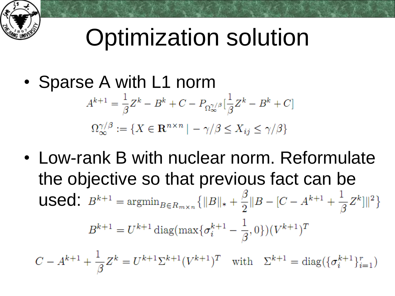### Optimization solution

• Sparse A with L1 norm

$$
A^{k+1} = \frac{1}{\beta} Z^k - B^k + C - P_{\Omega_{\infty}^{\gamma/\beta}} \left[ \frac{1}{\beta} Z^k - B^k + C \right]
$$

$$
\Omega_{\infty}^{\gamma/\beta} := \{ X \in \mathbf{R}^{n \times n} \mid -\gamma/\beta \le X_{ij} \le \gamma/\beta \}
$$

• Low-rank B with nuclear norm. Reformulate the objective so that previous fact can be **used:**  $B^{k+1} = \operatorname{argmin}_{B \in R_{m \times n}} \{ ||B||_* + \frac{\beta}{2} ||B - [C - A^{k+1} + \frac{1}{\beta} Z^k] ||^2 \}$  $B^{k+1} = U^{k+1} \operatorname{diag}(\max\{\sigma_i^{k+1} - \frac{1}{\beta}, 0\}) (V^{k+1})^T$  $C - A^{k+1} + \frac{1}{\beta} Z^k = U^{k+1} \Sigma^{k+1} (V^{k+1})^T$  with  $\Sigma^{k+1} = \text{diag}(\{\sigma_i^{k+1}\}_{i=1}^r)$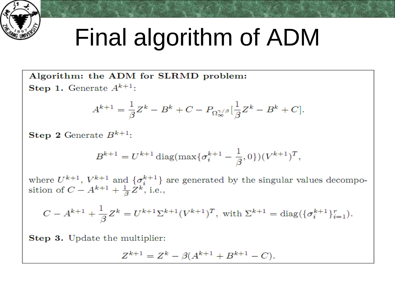

### Final algorithm of ADM

Algorithm: the ADM for SLRMD problem: **Step 1.** Generate  $A^{k+1}$ :

$$
A^{k+1} = \frac{1}{\beta}Z^k - B^k + C - P_{\Omega_{\infty}^{\gamma/\beta}}[\frac{1}{\beta}Z^k - B^k + C].
$$

**Step 2** Generate  $B^{k+1}$ :

$$
B^{k+1} = U^{k+1} \operatorname{diag}(\max\{\sigma_i^{k+1} - \frac{1}{\beta}, 0\}) (V^{k+1})^T,
$$

where  $U^{k+1}$ ,  $V^{k+1}$  and  $\{\sigma_i^{k+1}\}$  are generated by the singular values decomposition of  $C - A^{k+1} + \frac{1}{\beta} Z^k$ , i.e.,

$$
C - A^{k+1} + \frac{1}{\beta} Z^k = U^{k+1} \Sigma^{k+1} (V^{k+1})^T, \text{ with } \Sigma^{k+1} = \text{diag}(\{\sigma_i^{k+1}\}_{i=1}^r).
$$

**Step 3.** Update the multiplier:

$$
Z^{k+1} = Z^k - \beta(A^{k+1} + B^{k+1} - C).
$$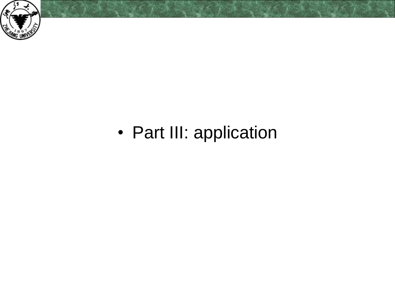

#### • Part III: application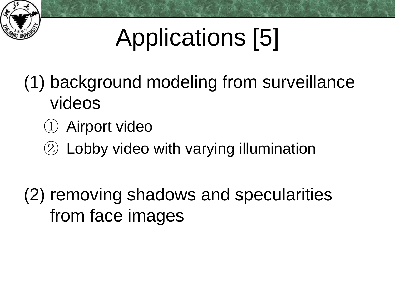

# Applications [5]

- (1) background modeling from surveillance videos
	- ① Airport video
	- ② Lobby video with varying illumination
- (2) removing shadows and specularities from face images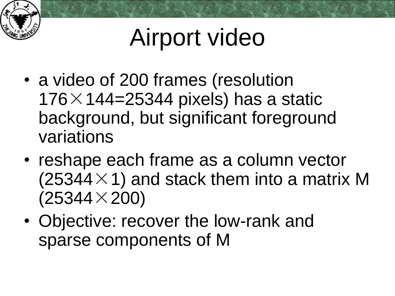

# Airport video

- a video of 200 frames (resolution  $176\times$  144=25344 pixels) has a static background, but significant foreground variations
- reshape each frame as a column vector  $(25344\times1)$  and stack them into a matrix M  $(25344\times200)$
- Objective: recover the low-rank and sparse components of M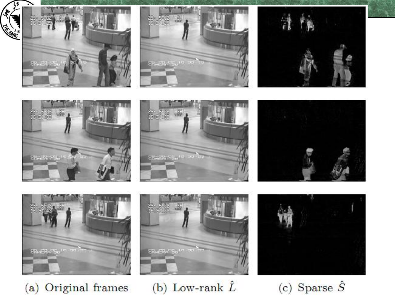

⌒















(a) Original frames



(b) Low-rank  $\hat{L}$ 

(c) Sparse  $\hat{S}$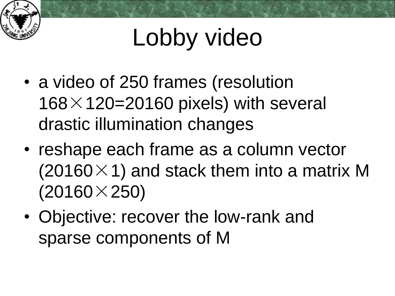

# Lobby video

- a video of 250 frames (resolution  $168\times120=20160$  pixels) with several drastic illumination changes
- reshape each frame as a column vector  $(20160\times1)$  and stack them into a matrix M  $(20160\times250)$
- Objective: recover the low-rank and sparse components of M